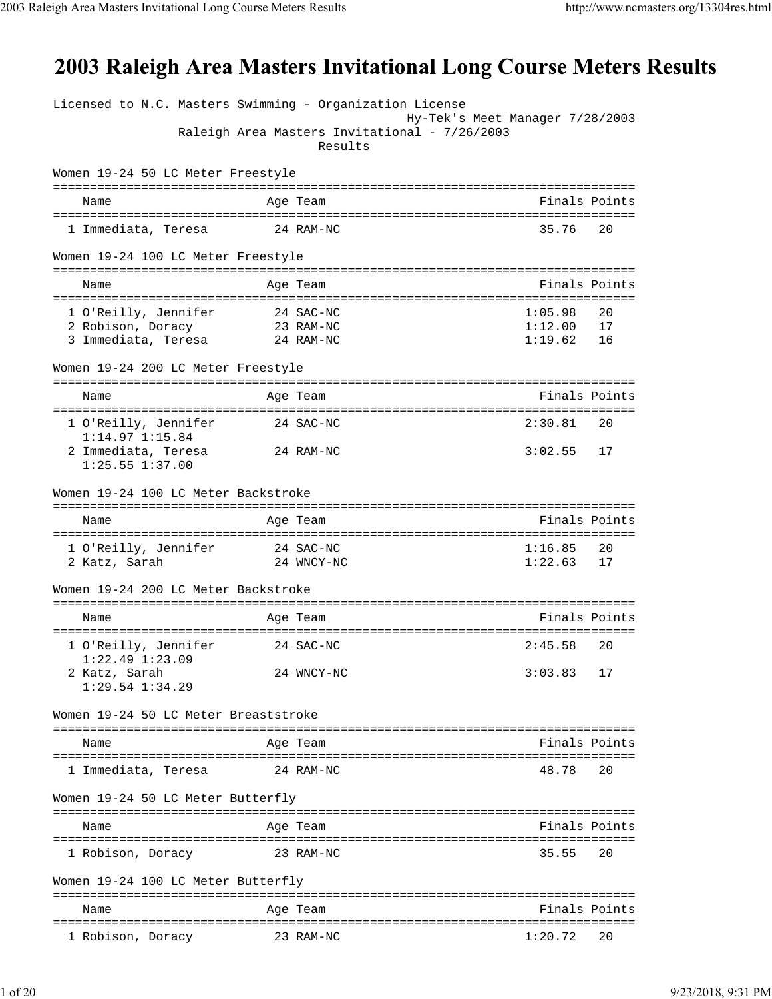## 2003 Raleigh Area Masters Invitational Long Course Meters Results

| Licensed to N.C. Masters Swimming - Organization License |                                                          |                                 |               |
|----------------------------------------------------------|----------------------------------------------------------|---------------------------------|---------------|
|                                                          | Raleigh Area Masters Invitational - 7/26/2003<br>Results | Hy-Tek's Meet Manager 7/28/2003 |               |
| Women 19-24 50 LC Meter Freestyle                        |                                                          |                                 |               |
| Name                                                     | Age Team                                                 |                                 | Finals Points |
| 1 Immediata, Teresa                                      | 24 RAM-NC                                                | 35.76                           | 20            |
| Women 19-24 100 LC Meter Freestyle                       |                                                          |                                 |               |
| Name                                                     | Age Team                                                 |                                 | Finals Points |
|                                                          |                                                          |                                 |               |
| 1 O'Reilly, Jennifer                                     | 24 SAC-NC                                                | 1:05.98                         | 20            |
| 2 Robison, Doracy<br>3 Immediata, Teresa                 | 23 RAM-NC<br>24 RAM-NC                                   | 1:12.00<br>1:19.62              | 17<br>16      |
|                                                          |                                                          |                                 |               |
| Women 19-24 200 LC Meter Freestyle                       |                                                          |                                 |               |
| Name                                                     | Age Team                                                 |                                 | Finals Points |
| 1 O'Reilly, Jennifer                                     | 24 SAC-NC                                                | 2:30.81                         | 20            |
| $1:14.97$ $1:15.84$<br>2 Immediata, Teresa               | 24 RAM-NC                                                | 3:02.55                         | 17            |
| $1:25.55$ $1:37.00$                                      |                                                          |                                 |               |
| Women 19-24 100 LC Meter Backstroke                      |                                                          |                                 |               |
| Name                                                     | Age Team                                                 |                                 | Finals Points |
|                                                          |                                                          |                                 |               |
| 1 O'Reilly, Jennifer                                     | 24 SAC-NC                                                | 1:16.85                         | 20            |
| 2 Katz, Sarah                                            | 24 WNCY-NC                                               | 1:22.63                         | 17            |
| Women 19-24 200 LC Meter Backstroke                      |                                                          |                                 |               |
| Name                                                     | Age Team                                                 |                                 | Finals Points |
| 1 O'Reilly, Jennifer                                     | 24 SAC-NC                                                | 2:45.58                         | 20            |
| 1:22.49 1:23.09                                          |                                                          |                                 |               |
| 2 Katz, Sarah<br>$1:29.54$ $1:34.29$                     | 24 WNCY-NC                                               | 3:03.83                         | 17            |
| Women 19-24 50 LC Meter Breaststroke                     |                                                          |                                 |               |
| Name                                                     | Age Team                                                 |                                 | Finals Points |
| 1 Immediata, Teresa                                      | 24 RAM-NC                                                | 48.78                           | 20            |
| Women 19-24 50 LC Meter Butterfly                        |                                                          |                                 |               |
|                                                          |                                                          |                                 |               |
| Name                                                     | Age Team                                                 |                                 | Finals Points |
| 1 Robison, Doracy                                        | 23 RAM-NC                                                | 35.55                           | 20            |
| Women 19-24 100 LC Meter Butterfly                       |                                                          |                                 |               |
| Name                                                     | Age Team                                                 |                                 | Finals Points |
| 1 Robison, Doracy                                        | 23 RAM-NC                                                | 1:20.72                         | 20            |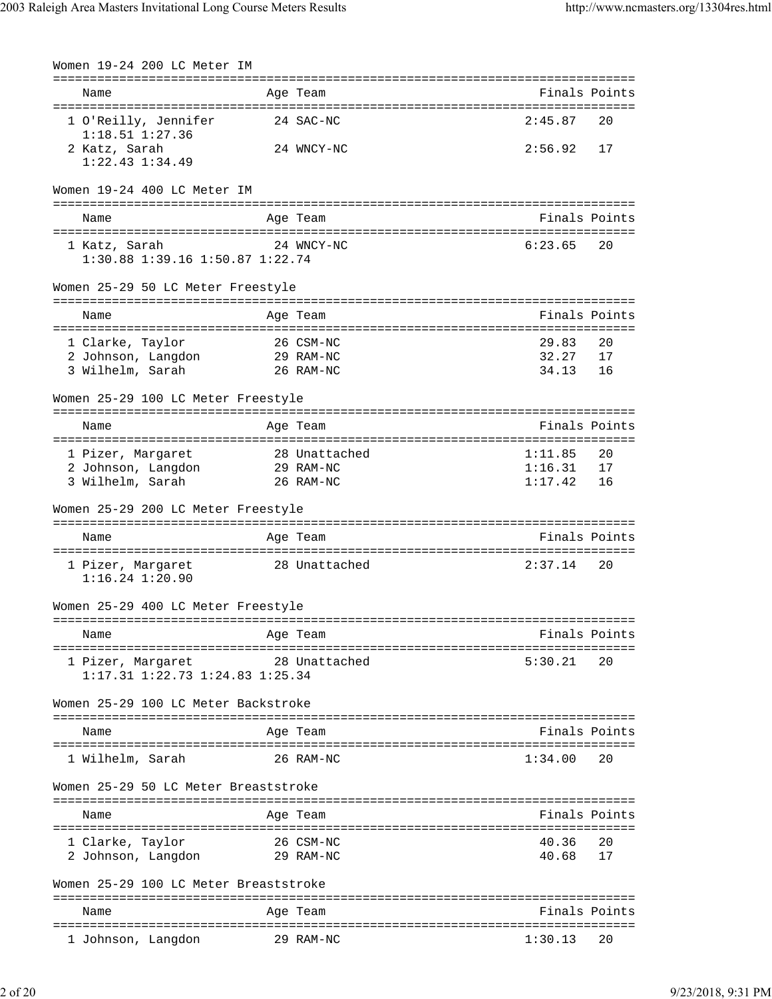| Women 19-24 200 LC Meter IM                                                        |                                     |                                                |
|------------------------------------------------------------------------------------|-------------------------------------|------------------------------------------------|
| Name                                                                               | Age Team                            | Finals Points                                  |
| 1 O'Reilly, Jennifer<br>$1:18.51$ $1:27.36$                                        | 24 SAC-NC                           | 2:45.87<br>20                                  |
| 2 Katz, Sarah<br>$1:22.43$ $1:34.49$                                               | 24 WNCY-NC                          | 2:56.92<br>17                                  |
| Women 19-24 400 LC Meter IM                                                        |                                     |                                                |
| Name                                                                               | Age Team                            | Finals Points                                  |
| 1 Katz, Sarah<br>1:30.88 1:39.16 1:50.87 1:22.74                                   | 24 WNCY-NC                          | 6:23.65<br>20                                  |
| Women 25-29 50 LC Meter Freestyle                                                  |                                     |                                                |
| Name                                                                               | Age Team                            | Finals Points                                  |
| 1 Clarke, Taylor<br>2 Johnson, Langdon<br>3 Wilhelm, Sarah                         | 26 CSM-NC<br>29 RAM-NC<br>26 RAM-NC | 29.83<br>20<br>32.27<br>17<br>34.13<br>16      |
| Women 25-29 100 LC Meter Freestyle                                                 |                                     |                                                |
| Name                                                                               | Age Team                            | Finals Points                                  |
| ======================================<br>1 Pizer, Margaret                        | 28 Unattached                       | :============================<br>1:11.85<br>20 |
| 2 Johnson, Langdon                                                                 | 29 RAM-NC                           | 1:16.31<br>17                                  |
| 3 Wilhelm, Sarah                                                                   | 26 RAM-NC                           | 1:17.42<br>16                                  |
| Women 25-29 200 LC Meter Freestyle                                                 |                                     |                                                |
| Name                                                                               | Age Team                            | Finals Points                                  |
| 1 Pizer, Margaret<br>$1:16.24$ $1:20.90$                                           | 28 Unattached                       | 2:37.14<br>20                                  |
| Women 25-29 400 LC Meter Freestyle                                                 |                                     |                                                |
| Name                                                                               | Age Team                            | Finals Points                                  |
| ==========================<br>1 Pizer, Margaret<br>1:17.31 1:22.73 1:24.83 1:25.34 | 28 Unattached                       | 5:30.21<br>20                                  |
| Women 25-29 100 LC Meter Backstroke                                                |                                     |                                                |
| Name                                                                               | Age Team                            | Finals Points                                  |
| 1 Wilhelm, Sarah                                                                   | 26 RAM-NC                           | 1:34.00<br>20                                  |
| Women 25-29 50 LC Meter Breaststroke                                               |                                     |                                                |
| Name                                                                               | Age Team                            | Finals Points                                  |
| 1 Clarke, Taylor<br>2 Johnson, Langdon                                             | 26 CSM-NC<br>29 RAM-NC              | 40.36<br>20<br>40.68<br>17                     |
| Women 25-29 100 LC Meter Breaststroke                                              |                                     |                                                |
| Name                                                                               | Age Team                            | Finals Points                                  |
| 1 Johnson, Langdon                                                                 | 29 RAM-NC                           | 1:30.13<br>20                                  |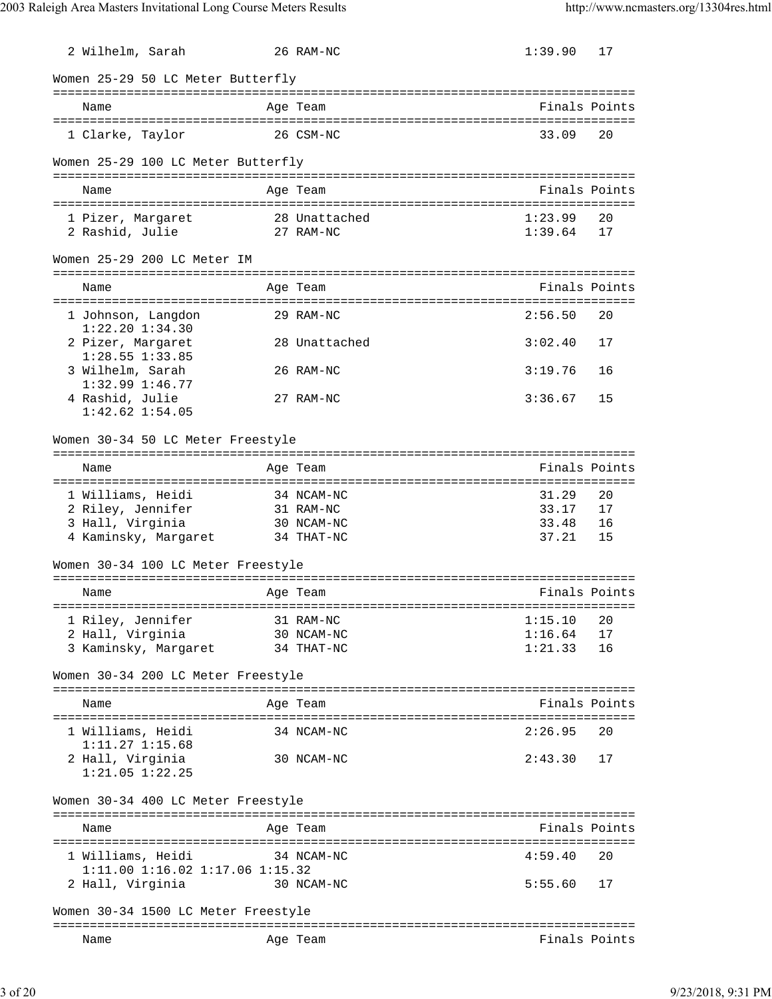| 2 Wilhelm, Sarah                                                | 26 RAM-NC     | 1:39.90                            | 17            |
|-----------------------------------------------------------------|---------------|------------------------------------|---------------|
| Women 25-29 50 LC Meter Butterfly                               |               |                                    |               |
| Name                                                            | Age Team      |                                    | Finals Points |
| 1 Clarke, Taylor                                                | 26 CSM-NC     | 33.09                              | 20            |
| Women 25-29 100 LC Meter Butterfly                              |               |                                    |               |
| Name                                                            | Age Team      |                                    | Finals Points |
| 1 Pizer, Margaret                                               | 28 Unattached | 1:23.99                            | 20            |
| 2 Rashid, Julie                                                 | 27 RAM-NC     | 1:39.64                            | 17            |
| Women 25-29 200 LC Meter IM                                     |               |                                    |               |
| Name                                                            | Age Team      |                                    | Finals Points |
| 1 Johnson, Langdon                                              | 29 RAM-NC     | 2:56.50                            | 20            |
| $1:22.20$ $1:34.30$<br>2 Pizer, Margaret<br>$1:28.55$ $1:33.85$ | 28 Unattached | 3:02.40                            | 17            |
| 3 Wilhelm, Sarah<br>$1:32.99$ $1:46.77$                         | 26 RAM-NC     | 3:19.76                            | 16            |
| 4 Rashid, Julie<br>$1:42.62$ $1:54.05$                          | 27 RAM-NC     | 3:36.67                            | 15            |
| Women 30-34 50 LC Meter Freestyle                               |               | ---------------------------------- |               |
| Name                                                            | Age Team      |                                    | Finals Points |
| 1 Williams, Heidi                                               | 34 NCAM-NC    | 31.29                              | 20            |
| 2 Riley, Jennifer                                               | 31 RAM-NC     | 33.17                              | 17            |
| 3 Hall, Virginia                                                | 30 NCAM-NC    | 33.48                              | 16            |
| 4 Kaminsky, Margaret                                            | 34 THAT-NC    | 37.21                              | 15            |
| Women 30-34 100 LC Meter Freestyle                              |               |                                    |               |
| Name                                                            | Age Team      |                                    | Finals Points |
| 1 Riley, Jennifer                                               | 31 RAM-NC     | 1:15.10                            | 20            |
| 2 Hall, Virginia                                                | 30 NCAM-NC    | 1:16.64                            | 17            |
| 3 Kaminsky, Margaret                                            | 34 THAT-NC    | 1:21.33                            | 16            |
| Women 30-34 200 LC Meter Freestyle                              |               |                                    |               |
| Name                                                            | Age Team      |                                    | Finals Points |
| 1 Williams, Heidi<br>$1:11.27$ $1:15.68$                        | 34 NCAM-NC    | 2:26.95                            | 20            |
| 2 Hall, Virginia<br>$1:21.05$ $1:22.25$                         | 30 NCAM-NC    | 2:43.30                            | 17            |
| Women 30-34 400 LC Meter Freestyle                              |               |                                    |               |
| Name                                                            | Age Team      |                                    | Finals Points |
| 1 Williams, Heidi                                               | 34 NCAM-NC    | 4:59.40                            | 20            |
| 1:11.00 1:16.02 1:17.06 1:15.32<br>2 Hall, Virginia             | 30 NCAM-NC    | 5:55.60                            | 17            |
| Women 30-34 1500 LC Meter Freestyle                             |               |                                    |               |
| Name                                                            | Age Team      |                                    | Finals Points |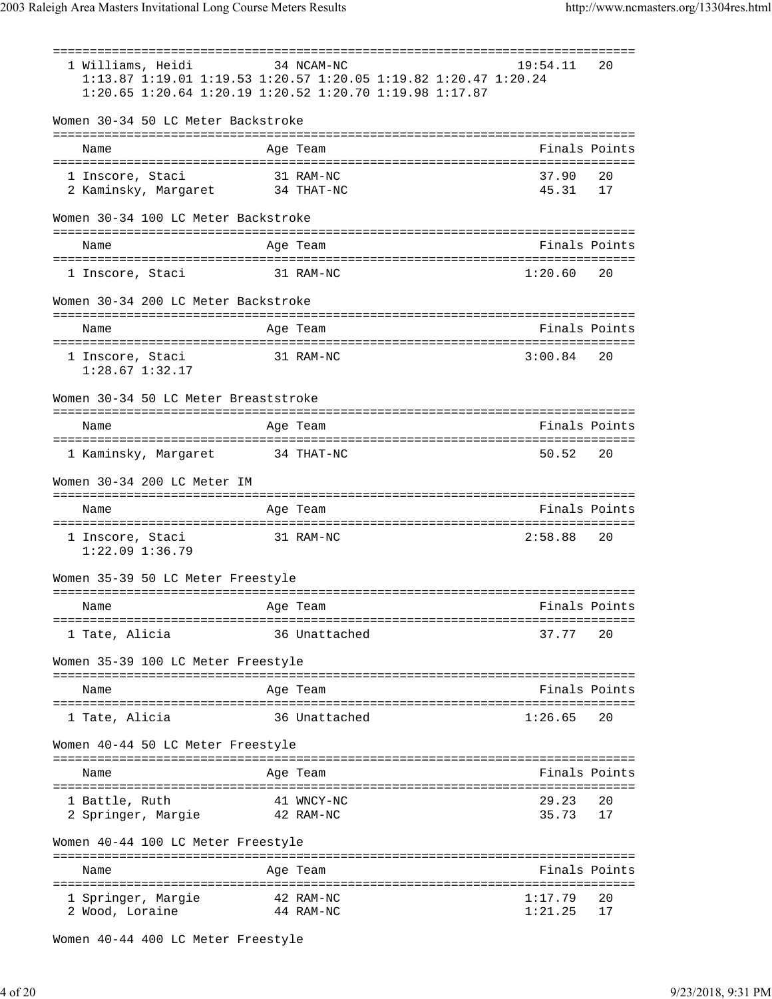=============================================================================== 1 Williams, Heidi 34 NCAM-NC 19:54.11 20 1:13.87 1:19.01 1:19.53 1:20.57 1:20.05 1:19.82 1:20.47 1:20.24 1:20.65 1:20.64 1:20.19 1:20.52 1:20.70 1:19.98 1:17.87 Women 30-34 50 LC Meter Backstroke =============================================================================== Name Age Team Finals Points =============================================================================== 1 Inscore, Staci 31 RAM-NC 37.90 20 2 Kaminsky, Margaret 34 THAT-NC 45.31 17 Women 30-34 100 LC Meter Backstroke =============================================================================== Name **Age Team** Age Team Finals Points =============================================================================== 1 Inscore, Staci 31 RAM-NC 1:20.60 20 Women 30-34 200 LC Meter Backstroke =============================================================================== Name **Age Team** Age Team Finals Points =============================================================================== 1 Inscore, Staci 31 RAM-NC 3:00.84 20 1:28.67 1:32.17 Women 30-34 50 LC Meter Breaststroke =============================================================================== Name Age Team Age Team Finals Points Points Age Team Age of the Manual Points Points Points Points Points Points =============================================================================== 1 Kaminsky, Margaret 34 THAT-NC 50.52 20 Women 30-34 200 LC Meter IM =============================================================================== Name Age Team Finals Points =============================================================================== 1 Inscore, Staci 31 RAM-NC 2:58.88 20 1:22.09 1:36.79 Women 35-39 50 LC Meter Freestyle =============================================================================== Name Age Team Age Team Finals Points =============================================================================== 1 Tate, Alicia 36 Unattached 37.77 20 Women 35-39 100 LC Meter Freestyle =============================================================================== Name **Age Team Age Team Rinals Points** =============================================================================== 1 Tate, Alicia 36 Unattached 1:26.65 20 Women 40-44 50 LC Meter Freestyle =============================================================================== Name **Age Team** Age Team Finals Points =============================================================================== 1 Battle, Ruth 41 WNCY-NC 29.23 20 2 Springer, Margie 42 RAM-NC 35.73 17 Women 40-44 100 LC Meter Freestyle =============================================================================== Name Age Team Age Team Finals Points =============================================================================== 1 Springer, Margie 42 RAM-NC 1:17.79 20 2 Wood, Loraine 44 RAM-NC 1:21.25 17

Women 40-44 400 LC Meter Freestyle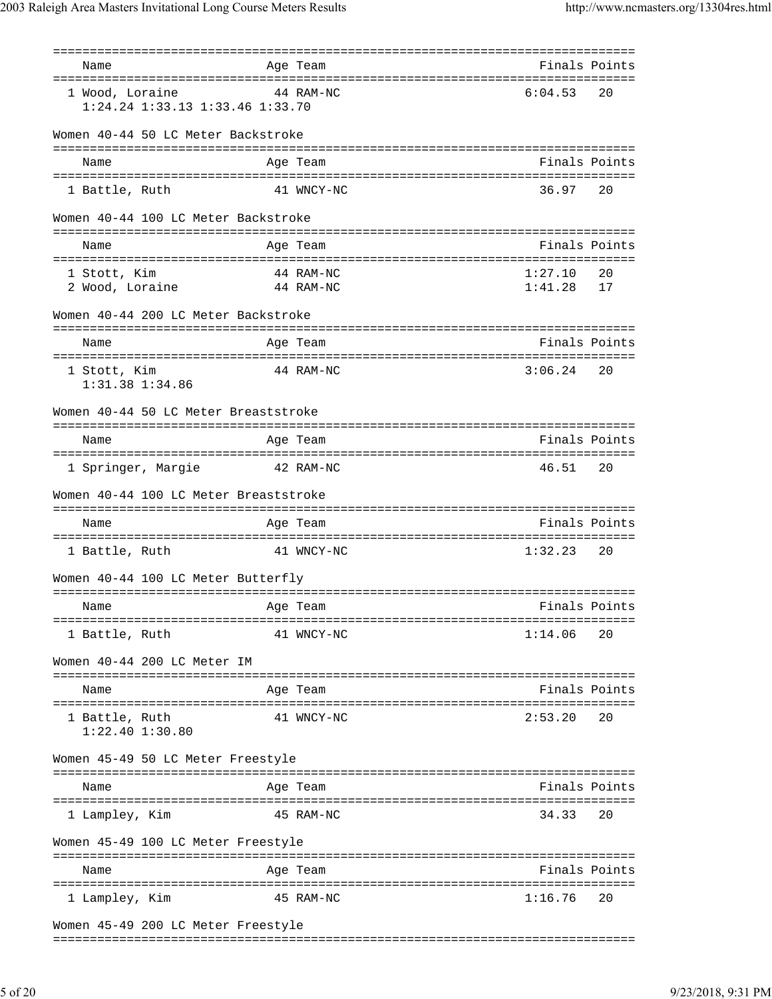| Name                                                       | Age Team                      | Finals Points      |          |
|------------------------------------------------------------|-------------------------------|--------------------|----------|
| 1 Wood, Loraine<br>$1:24.24$ $1:33.13$ $1:33.46$ $1:33.70$ | 44 RAM-NC                     | 6:04.53            | 20       |
| Women 40-44 50 LC Meter Backstroke                         |                               |                    |          |
| Name                                                       | Age Team                      | Finals Points      |          |
| 1 Battle, Ruth                                             | 41 WNCY-NC                    | 36.97              | 20       |
| Women 40-44 100 LC Meter Backstroke                        |                               |                    |          |
| Name                                                       | Age Team                      | Finals Points      |          |
| 1 Stott, Kim<br>2 Wood, Loraine                            | 44 RAM-NC<br>44 RAM-NC        | 1:27.10<br>1:41.28 | 20<br>17 |
| Women 40-44 200 LC Meter Backstroke                        |                               |                    |          |
| Name                                                       | Age Team                      | Finals Points      |          |
| 1 Stott, Kim<br>1:31.38 1:34.86                            | 44 RAM-NC                     | 3:06.24            | 20       |
| Women 40-44 50 LC Meter Breaststroke                       |                               |                    |          |
| Name                                                       | Age Team                      | Finals Points      |          |
| 1 Springer, Margie<br>42 RAM-NC                            |                               | 46.51              | 20       |
| Women 40-44 100 LC Meter Breaststroke                      |                               |                    |          |
| Name                                                       | Age Team                      | Finals Points      |          |
| 1 Battle, Ruth                                             | 41 WNCY-NC                    | 1:32.23            | 20       |
| Women 40-44 100 LC Meter Butterfly                         |                               |                    |          |
| Name                                                       | Age Team                      | Finals Points      |          |
| 1 Battle, Ruth                                             | 41 WNCY-NC                    | 1:14.06            | 20       |
| Women 40-44 200 LC Meter IM                                |                               |                    |          |
| Name                                                       | Age Team                      | Finals Points      |          |
| 1 Battle, Ruth<br>$1:22.40$ $1:30.80$                      | 41 WNCY-NC                    | 2:53.20            | 20       |
| Women 45-49 50 LC Meter Freestyle                          |                               |                    |          |
| Name                                                       | Age Team                      | Finals Points      |          |
| 1 Lampley, Kim                                             | 45 RAM-NC                     | 34.33              | 20       |
| Women 45-49 100 LC Meter Freestyle                         | ============================= |                    |          |
| Name                                                       | Age Team                      | Finals Points      |          |
| 1 Lampley, Kim                                             | 45 RAM-NC                     | 1:16.76            | 20       |
| Women 45-49 200 LC Meter Freestyle                         |                               |                    |          |

===============================================================================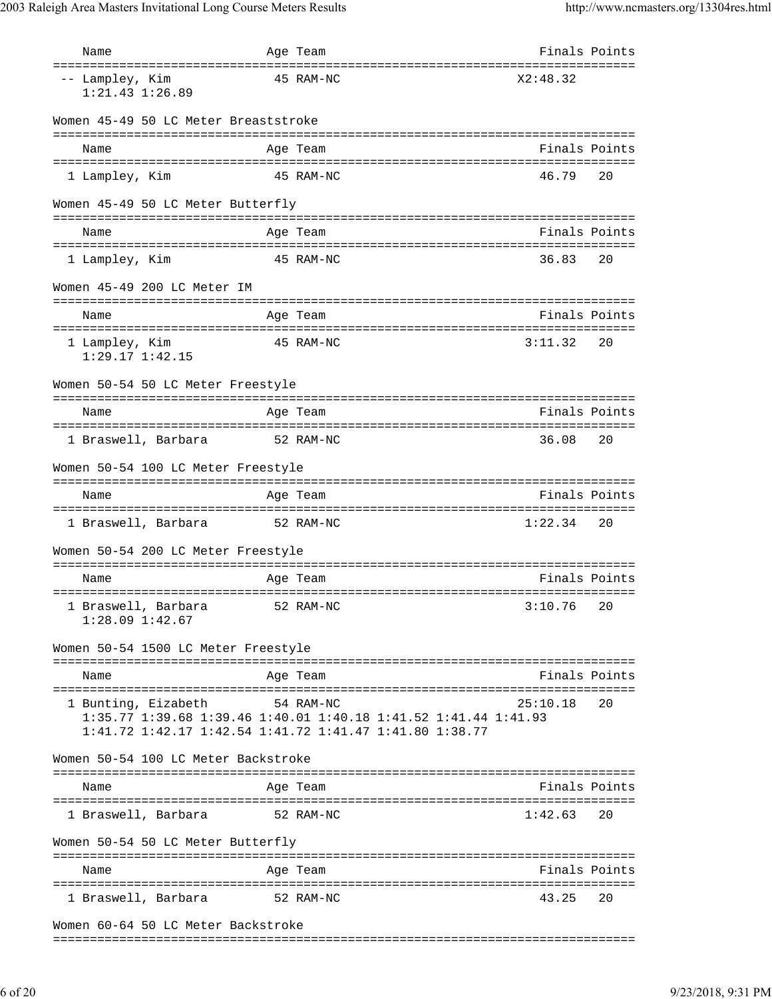| Name                                   | Age Team                                                                                                                   | Finals Points |               |
|----------------------------------------|----------------------------------------------------------------------------------------------------------------------------|---------------|---------------|
| -- Lampley, Kim<br>$1:21.43$ $1:26.89$ | 45 RAM-NC                                                                                                                  | X2:48.32      |               |
| Women 45-49 50 LC Meter Breaststroke   |                                                                                                                            |               |               |
| Name                                   | Age Team                                                                                                                   |               | Finals Points |
| 1 Lampley, Kim                         | 45 RAM-NC                                                                                                                  | 46.79         | 20            |
| Women 45-49 50 LC Meter Butterfly      |                                                                                                                            |               |               |
| Name                                   | Age Team                                                                                                                   | Finals Points |               |
|                                        |                                                                                                                            |               |               |
| 1 Lampley, Kim                         | 45 RAM-NC                                                                                                                  | 36.83         | 20            |
| Women 45-49 200 LC Meter IM            |                                                                                                                            |               |               |
| Name                                   | Age Team                                                                                                                   | Finals Points |               |
| 1 Lampley, Kim<br>$1:29.17$ $1:42.15$  | 45 RAM-NC                                                                                                                  | 3:11.32       | 20            |
| Women 50-54 50 LC Meter Freestyle      |                                                                                                                            |               |               |
| Name                                   | Age Team                                                                                                                   |               | Finals Points |
| 1 Braswell, Barbara                    | 52 RAM-NC                                                                                                                  | 36.08         | 20            |
| Women 50-54 100 LC Meter Freestyle     |                                                                                                                            |               |               |
| Name                                   | Age Team                                                                                                                   | Finals Points |               |
| 1 Braswell, Barbara 52 RAM-NC          |                                                                                                                            | 1:22.34       | 20            |
| Women 50-54 200 LC Meter Freestyle     |                                                                                                                            |               |               |
| Name                                   | Age Team                                                                                                                   |               | Finals Points |
|                                        |                                                                                                                            |               |               |
| $1:28.09$ $1:42.67$                    | 1 Braswell, Barbara $\qquad$ 52 RAM-NC $\qquad$ 3:10.76 20                                                                 |               |               |
| Women 50-54 1500 LC Meter Freestyle    |                                                                                                                            |               |               |
| Name                                   | Age Team                                                                                                                   |               | Finals Points |
| 1 Bunting, Eizabeth 54 RAM-NC          | 1:35.77 1:39.68 1:39.46 1:40.01 1:40.18 1:41.52 1:41.44 1:41.93<br>1:41.72 1:42.17 1:42.54 1:41.72 1:41.47 1:41.80 1:38.77 | 25:10.18      | 20            |
| Women 50-54 100 LC Meter Backstroke    |                                                                                                                            |               |               |
| Name                                   | Age Team                                                                                                                   |               | Finals Points |
| 1 Braswell, Barbara                    | 52 RAM-NC                                                                                                                  | 1:42.63       | 20            |
| Women 50-54 50 LC Meter Butterfly      |                                                                                                                            |               |               |
| Name                                   | Age Team                                                                                                                   |               | Finals Points |
| 1 Braswell, Barbara 52 RAM-NC          |                                                                                                                            | 43.25         | 20            |
| Women 60-64 50 LC Meter Backstroke     |                                                                                                                            |               |               |

===============================================================================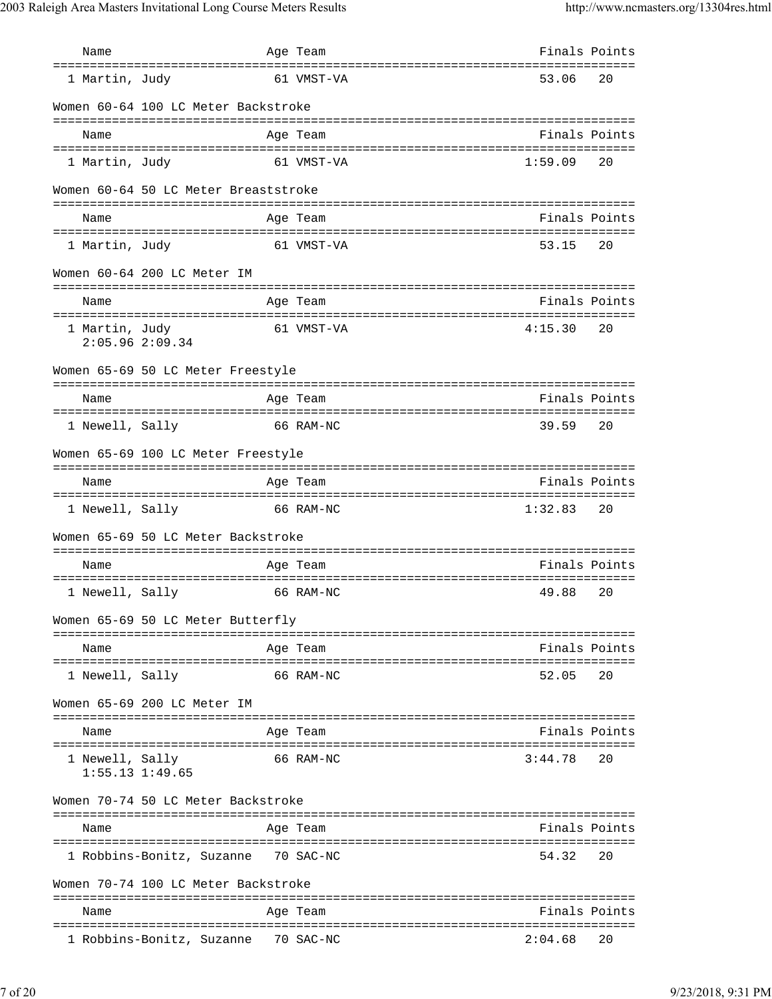| Name                                                                          | Age Team                                        |         | Finals Points |
|-------------------------------------------------------------------------------|-------------------------------------------------|---------|---------------|
| =====================================<br>1 Martin, Judy                       | ===============================<br>61 VMST-VA   | 53.06   | 20            |
| Women 60-64 100 LC Meter Backstroke                                           |                                                 |         |               |
| Name                                                                          | Age Team                                        |         | Finals Points |
|                                                                               |                                                 |         |               |
| 1 Martin, Judy                                                                | 61 VMST-VA                                      | 1:59.09 | 20            |
| Women 60-64 50 LC Meter Breaststroke                                          |                                                 |         |               |
| Name                                                                          | Age Team                                        |         | Finals Points |
| 1 Martin, Judy                                                                | 61 VMST-VA                                      | 53.15   | 20            |
| Women 60-64 200 LC Meter IM<br>===========================                    |                                                 |         |               |
| Name                                                                          | Age Team                                        |         | Finals Points |
| ------------------------------------<br>1 Martin, Judy<br>$2:05.96$ $2:09.34$ | 61 VMST-VA                                      | 4:15.30 | 20            |
| Women 65-69 50 LC Meter Freestyle                                             |                                                 |         |               |
| Name                                                                          | Age Team                                        |         | Finals Points |
|                                                                               |                                                 |         |               |
| 1 Newell, Sally                                                               | 66 RAM-NC                                       | 39.59   | 20            |
| Women 65-69 100 LC Meter Freestyle                                            |                                                 |         |               |
| Name                                                                          | Age Team                                        |         | Finals Points |
| 1 Newell, Sally                                                               | ==================================<br>66 RAM-NC | 1:32.83 | 20            |
|                                                                               |                                                 |         |               |
| Women 65-69 50 LC Meter Backstroke                                            |                                                 |         |               |
| Name                                                                          | Age Team                                        |         | Finals Points |
| 1 Newell, Sally                                                               | 66 RAM-NC                                       | 49.88   | 20            |
| Women 65-69 50 LC Meter Butterfly                                             |                                                 |         |               |
| Name                                                                          | Age Team                                        |         | Finals Points |
| 1 Newell, Sally                                                               | 66 RAM-NC                                       | 52.05   | 20            |
| Women 65-69 200 LC Meter IM                                                   |                                                 |         |               |
| Name                                                                          | Age Team                                        |         | Finals Points |
|                                                                               |                                                 |         |               |
| 1 Newell, Sally<br>$1:55.13$ $1:49.65$                                        | 66 RAM-NC                                       | 3:44.78 | 20            |
| Women 70-74 50 LC Meter Backstroke                                            |                                                 |         |               |
| Name                                                                          | Age Team                                        |         | Finals Points |
| 1 Robbins-Bonitz, Suzanne                                                     | 70 SAC-NC                                       | 54.32   | 20            |
| Women 70-74 100 LC Meter Backstroke                                           |                                                 |         |               |
| Name                                                                          | Age Team                                        |         | Finals Points |
| 1 Robbins-Bonitz, Suzanne 70 SAC-NC                                           |                                                 | 2:04.68 | 20            |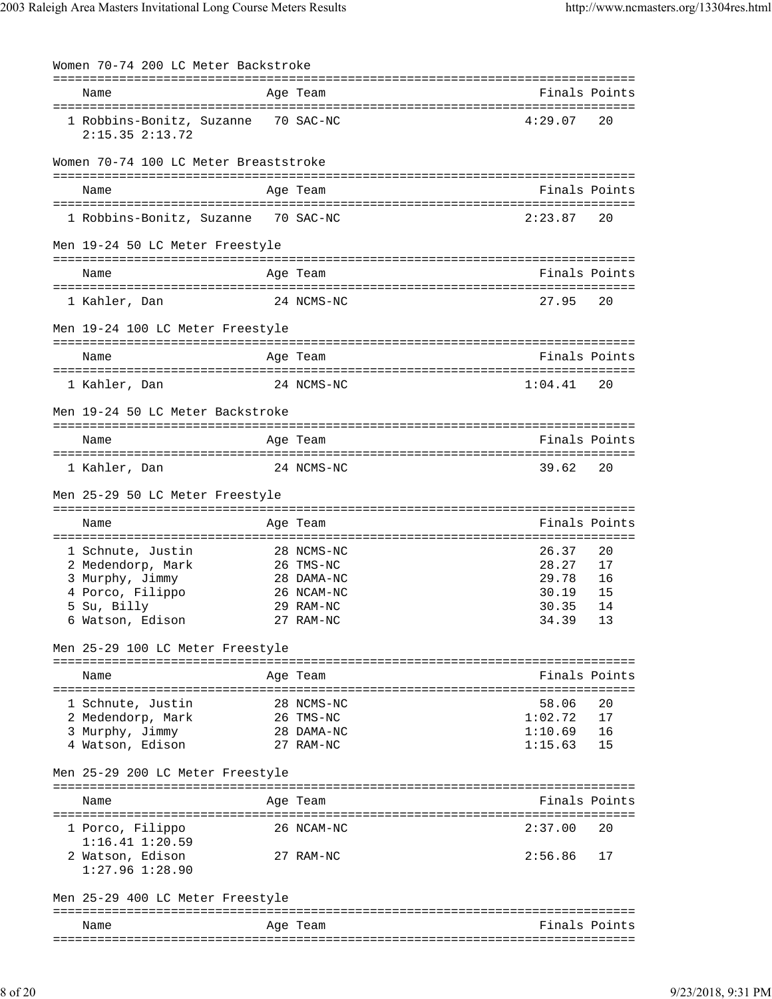| Women 70-74 200 LC Meter Backstroke                        |            |         |               |
|------------------------------------------------------------|------------|---------|---------------|
| Name                                                       | Age Team   |         | Finals Points |
| 1 Robbins-Bonitz, Suzanne 70 SAC-NC<br>$2:15.35$ $2:13.72$ |            | 4:29.07 | 20            |
| Women 70-74 100 LC Meter Breaststroke                      |            |         |               |
| Name                                                       | Age Team   |         | Finals Points |
| 1 Robbins-Bonitz, Suzanne 70 SAC-NC                        |            | 2:23.87 | 20            |
| Men 19-24 50 LC Meter Freestyle                            |            |         |               |
| Name                                                       | Age Team   |         | Finals Points |
| 1 Kahler, Dan                                              | 24 NCMS-NC | 27.95   | 20            |
| Men 19-24 100 LC Meter Freestyle                           |            |         |               |
| Name                                                       | Age Team   |         | Finals Points |
| 1 Kahler, Dan                                              | 24 NCMS-NC | 1:04.41 | 20            |
| Men 19-24 50 LC Meter Backstroke                           |            |         |               |
| Name                                                       | Age Team   |         | Finals Points |
| 1 Kahler, Dan                                              | 24 NCMS-NC | 39.62   | 20            |
| Men 25-29 50 LC Meter Freestyle                            |            |         |               |
| Name                                                       | Age Team   |         | Finals Points |
| 1 Schnute, Justin                                          | 28 NCMS-NC | 26.37   | 20            |
| 2 Medendorp, Mark                                          | 26 TMS-NC  | 28.27   | 17            |
| 3 Murphy, Jimmy                                            | 28 DAMA-NC | 29.78   | 16            |
| 4 Porco, Filippo                                           | 26 NCAM-NC | 30.19   | 15            |
| 5 Su, Billy                                                | 29 RAM-NC  | 30.35   | 14            |
| 6 Watson, Edison                                           | 27 RAM-NC  | 34.39   | 13            |
| Men 25-29 100 LC Meter Freestyle                           |            |         |               |
| Name                                                       | Age Team   |         | Finals Points |
|                                                            |            |         |               |
| 1 Schnute, Justin                                          | 28 NCMS-NC | 58.06   | 20            |
| 2 Medendorp, Mark                                          | 26 TMS-NC  | 1:02.72 | 17            |
| 3 Murphy, Jimmy                                            | 28 DAMA-NC | 1:10.69 | 16            |
| 4 Watson, Edison                                           | 27 RAM-NC  | 1:15.63 | 15            |
| Men 25-29 200 LC Meter Freestyle                           |            |         |               |
| Name                                                       | Age Team   |         | Finals Points |
| 1 Porco, Filippo                                           | 26 NCAM-NC | 2:37.00 | 20            |
| $1:16.41$ $1:20.59$<br>2 Watson, Edison                    | 27 RAM-NC  | 2:56.86 | 17            |
| $1:27.96$ $1:28.90$                                        |            |         |               |
| Men 25-29 400 LC Meter Freestyle                           |            |         |               |
| Name                                                       | Age Team   |         | Finals Points |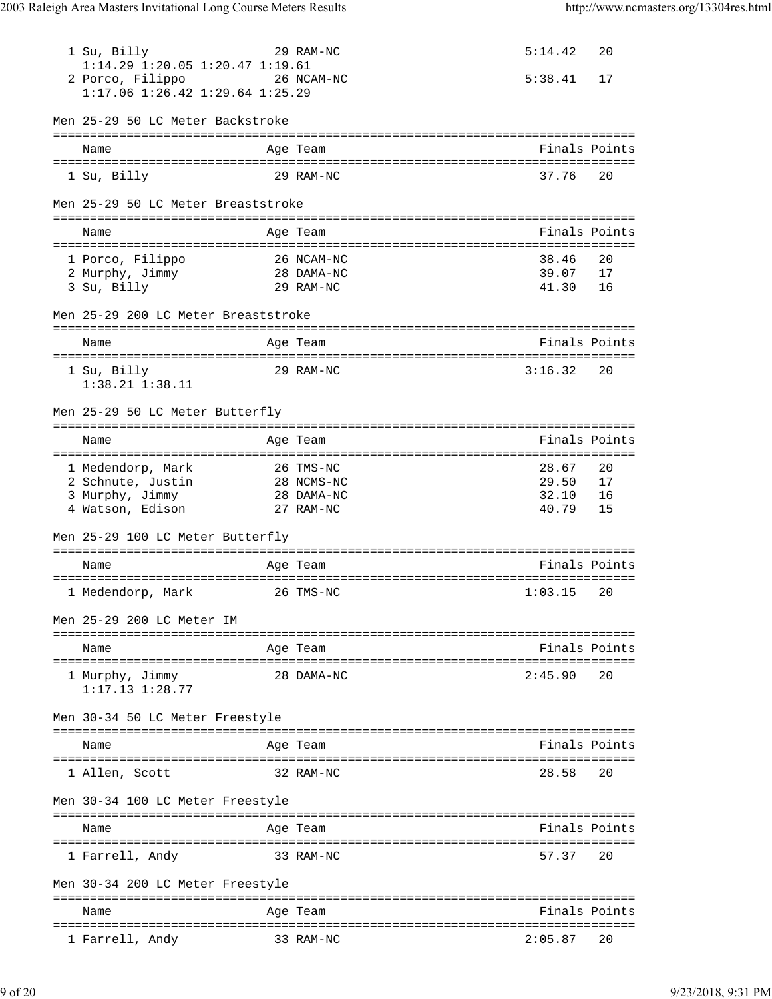| 1 Su, Billy<br>1:14.29 1:20.05 1:20.47 1:19.61<br>2 Porco, Filippo<br>1:17.06 1:26.42 1:29.64 1:25.29 | 29 RAM-NC<br>26 NCAM-NC         | 5:14.42<br>5:38.41 | 20<br>17 |
|-------------------------------------------------------------------------------------------------------|---------------------------------|--------------------|----------|
| Men 25-29 50 LC Meter Backstroke                                                                      |                                 |                    |          |
| Name                                                                                                  | ============<br>Age Team        | Finals Points      |          |
| 1 Su, Billy                                                                                           | 29 RAM-NC                       | 37.76              | 20       |
| Men 25-29 50 LC Meter Breaststroke                                                                    |                                 |                    |          |
| Name                                                                                                  | Age Team                        | Finals Points      |          |
| 1 Porco, Filippo                                                                                      | 26 NCAM-NC                      | 38.46              | 20       |
| 2 Murphy, Jimmy                                                                                       | 28 DAMA-NC                      | 39.07              | 17       |
| 3 Su, Billy                                                                                           | 29 RAM-NC                       | 41.30              | 16       |
| Men 25-29 200 LC Meter Breaststroke                                                                   |                                 |                    |          |
| Name                                                                                                  | Age Team                        | Finals Points      |          |
| 1 Su, Billy                                                                                           | 29 RAM-NC                       | 3:16.32            | 20       |
| $1:38.21$ $1:38.11$                                                                                   |                                 |                    |          |
| Men 25-29 50 LC Meter Butterfly                                                                       |                                 |                    |          |
| Name                                                                                                  | Age Team                        | Finals Points      |          |
|                                                                                                       | 26 TMS-NC                       | 28.67              | 20       |
| 1 Medendorp, Mark<br>2 Schnute, Justin                                                                | 28 NCMS-NC                      | 29.50              | 17       |
| 3 Murphy, Jimmy                                                                                       | 28 DAMA-NC                      | 32.10              | 16       |
| 4 Watson, Edison                                                                                      | 27 RAM-NC                       | 40.79              | 15       |
| Men 25-29 100 LC Meter Butterfly                                                                      |                                 |                    |          |
| Name                                                                                                  | Age Team                        | Finals Points      |          |
| 1 Medendorp, Mark                                                                                     | 26 TMS-NC                       | 1:03.15            | 20       |
| Men 25-29 200 LC Meter IM                                                                             |                                 |                    |          |
| Name                                                                                                  | Age Team                        | Finals Points      |          |
|                                                                                                       |                                 |                    |          |
| 1 Murphy, Jimmy<br>$1:17.13$ $1:28.77$                                                                | 28 DAMA-NC                      | 2:45.90            | 20       |
| Men 30-34 50 LC Meter Freestyle                                                                       |                                 |                    |          |
| Name                                                                                                  | Age Team                        | Finals Points      |          |
| 1 Allen, Scott                                                                                        | 32 RAM-NC                       | 28.58              | 20       |
| Men 30-34 100 LC Meter Freestyle                                                                      |                                 |                    |          |
|                                                                                                       |                                 | Finals Points      |          |
| Name                                                                                                  | Age Team                        |                    |          |
| 1 Farrell, Andy                                                                                       | 33 RAM-NC                       | 57.37              | 20       |
| Men 30-34 200 LC Meter Freestyle                                                                      | =============================== |                    |          |
| Name                                                                                                  | Age Team                        | Finals Points      |          |
| 1 Farrell, Andy                                                                                       | 33 RAM-NC                       | 2:05.87            | 20       |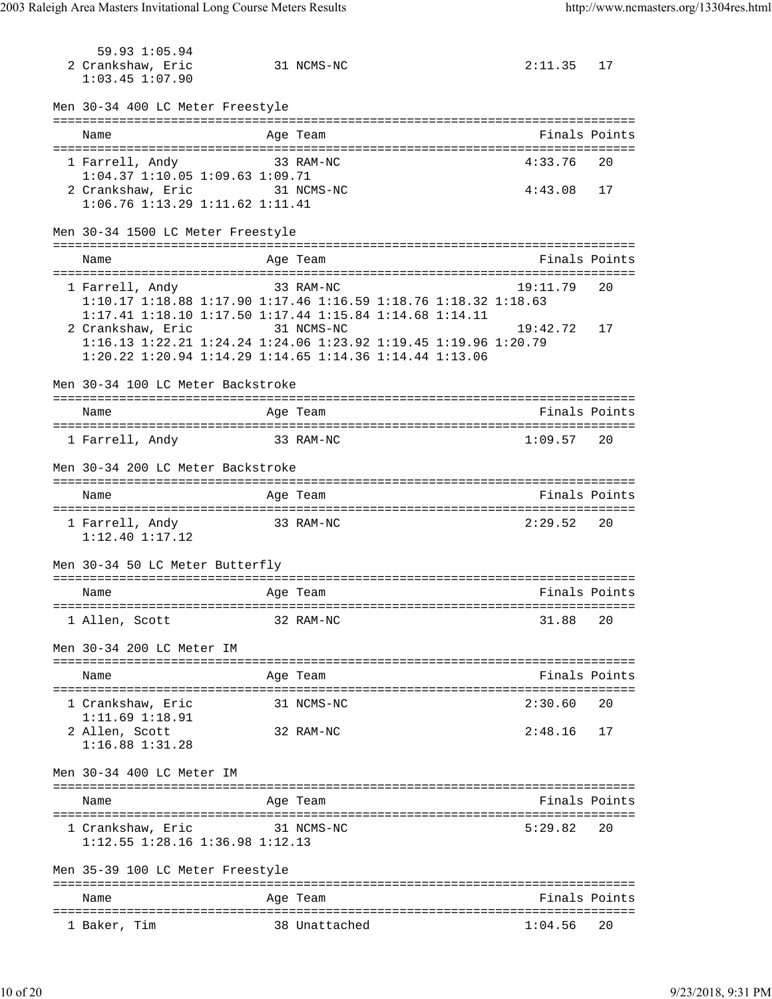59.93 1:05.94 2 Crankshaw, Eric 31 NCMS-NC 2:11.35 17 1:03.45 1:07.90 Men 30-34 400 LC Meter Freestyle =============================================================================== Name Age Team Finals Points =============================================================================== 1 Farrell, Andy 33 RAM-NC 4:33.76 20 1:04.37 1:10.05 1:09.63 1:09.71 2 Crankshaw, Eric 31 NCMS-NC 4:43.08 17 1:06.76 1:13.29 1:11.62 1:11.41 Men 30-34 1500 LC Meter Freestyle =============================================================================== Name Age Team Finals Points =============================================================================== 1 Farrell, Andy 33 RAM-NC 19:11.79 20 1:10.17 1:18.88 1:17.90 1:17.46 1:16.59 1:18.76 1:18.32 1:18.63 1:17.41 1:18.10 1:17.50 1:17.44 1:15.84 1:14.68 1:14.11 2 Crankshaw, Eric 31 NCMS-NC 19:42.72 17 1:16.13 1:22.21 1:24.24 1:24.06 1:23.92 1:19.45 1:19.96 1:20.79 1:20.22 1:20.94 1:14.29 1:14.65 1:14.36 1:14.44 1:13.06 Men 30-34 100 LC Meter Backstroke =============================================================================== Name Age Team Finals Points =============================================================================== 1 Farrell, Andy 33 RAM-NC 2012 2021 209.57 Men 30-34 200 LC Meter Backstroke =============================================================================== Name Age Team Age Team Finals Points =============================================================================== 1 Farrell, Andy 33 RAM-NC 2:29.52 20 1:12.40 1:17.12 Men 30-34 50 LC Meter Butterfly =============================================================================== Name **Age Team** Age Team Finals Points =============================================================================== 1 Allen, Scott 32 RAM-NC 31.88 20 Men 30-34 200 LC Meter IM =============================================================================== Name Age Team Finals Points =============================================================================== 1 Crankshaw, Eric 31 NCMS-NC 2:30.60 20 1:11.69 1:18.91 2 Allen, Scott 32 RAM-NC 2:48.16 17 1:16.88 1:31.28 Men 30-34 400 LC Meter IM =============================================================================== Name Age Team Finals Points =============================================================================== 1 Crankshaw, Eric 31 NCMS-NC 5:29.82 20 1:12.55 1:28.16 1:36.98 1:12.13 Men 35-39 100 LC Meter Freestyle =============================================================================== Name **Age Team Age Team** Rinals Points =============================================================================== 1 Baker, Tim 38 Unattached 1:04.56 20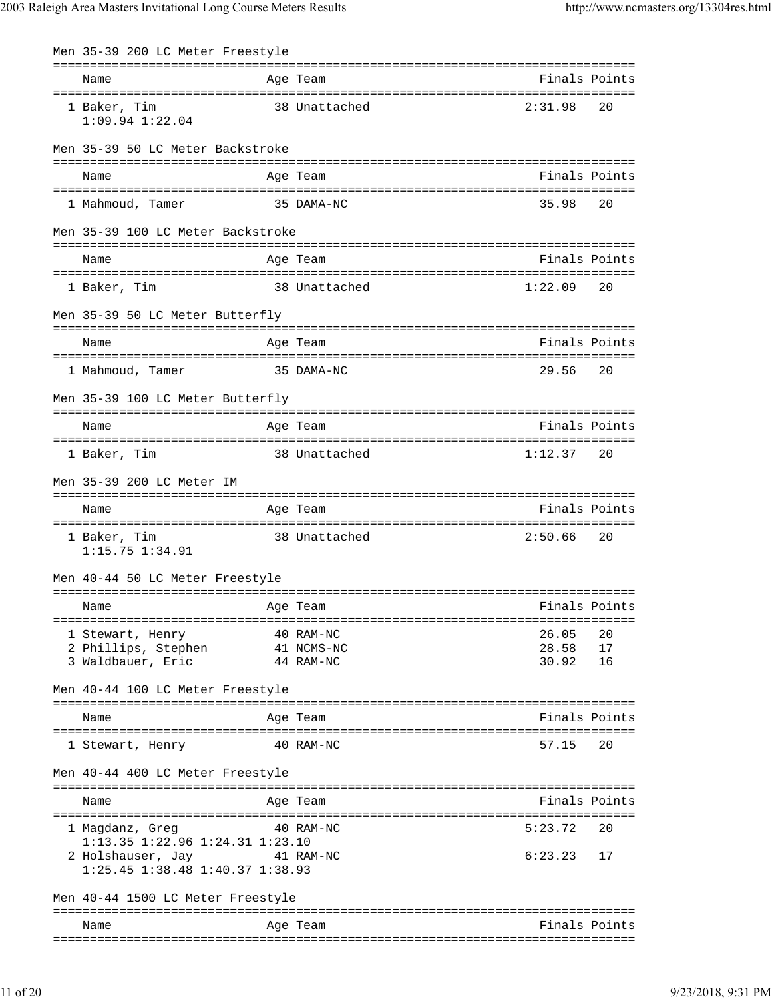| Men 35-39 200 LC Meter Freestyle                                           |                                |                                                                                                                                                             |                                                                                              |
|----------------------------------------------------------------------------|--------------------------------|-------------------------------------------------------------------------------------------------------------------------------------------------------------|----------------------------------------------------------------------------------------------|
|                                                                            |                                |                                                                                                                                                             |                                                                                              |
|                                                                            |                                | 2:31.98                                                                                                                                                     | 20                                                                                           |
| Men 35-39 50 LC Meter Backstroke                                           |                                |                                                                                                                                                             |                                                                                              |
|                                                                            |                                |                                                                                                                                                             |                                                                                              |
|                                                                            |                                | 35.98                                                                                                                                                       | 20                                                                                           |
|                                                                            |                                |                                                                                                                                                             |                                                                                              |
|                                                                            |                                |                                                                                                                                                             |                                                                                              |
|                                                                            |                                |                                                                                                                                                             | 20                                                                                           |
| Men 35-39 50 LC Meter Butterfly                                            |                                |                                                                                                                                                             |                                                                                              |
|                                                                            |                                |                                                                                                                                                             |                                                                                              |
|                                                                            |                                | 29.56                                                                                                                                                       | 20                                                                                           |
| Men 35-39 100 LC Meter Butterfly                                           |                                |                                                                                                                                                             |                                                                                              |
|                                                                            |                                |                                                                                                                                                             |                                                                                              |
|                                                                            |                                |                                                                                                                                                             |                                                                                              |
|                                                                            | 38 Unattached                  | 1:12.37 20                                                                                                                                                  |                                                                                              |
|                                                                            |                                |                                                                                                                                                             |                                                                                              |
|                                                                            | Age Team                       | Finals Points                                                                                                                                               |                                                                                              |
|                                                                            | 38 Unattached                  | 2:50.66                                                                                                                                                     | 20                                                                                           |
| Men 40-44 50 LC Meter Freestyle                                            |                                |                                                                                                                                                             |                                                                                              |
|                                                                            | ==================<br>Age Team | =============================<br>Finals Points                                                                                                              |                                                                                              |
|                                                                            | 40 RAM-NC                      | 26.05                                                                                                                                                       | 20                                                                                           |
|                                                                            | 41 NCMS-NC<br>44 RAM-NC        | 28.58<br>30.92                                                                                                                                              | 17<br>16                                                                                     |
| Men 40-44 100 LC Meter Freestyle                                           |                                |                                                                                                                                                             |                                                                                              |
|                                                                            | Age Team                       | Finals Points                                                                                                                                               |                                                                                              |
|                                                                            | 40 RAM-NC                      | 57.15                                                                                                                                                       | 20                                                                                           |
| Men 40-44 400 LC Meter Freestyle                                           |                                |                                                                                                                                                             |                                                                                              |
|                                                                            | Age Team                       | Finals Points                                                                                                                                               |                                                                                              |
|                                                                            | 40 RAM-NC                      | 5:23.72                                                                                                                                                     | 20                                                                                           |
| 1:13.35 1:22.96 1:24.31 1:23.10<br>$1:25.45$ $1:38.48$ $1:40.37$ $1:38.93$ | 2 Holshauser, Jay 31 RAM-NC    | $6:23.23$ 17                                                                                                                                                |                                                                                              |
| Men 40-44 1500 LC Meter Freestyle                                          |                                |                                                                                                                                                             |                                                                                              |
|                                                                            |                                | Age Team<br>38 Unattached<br>Age Team<br>35 DAMA-NC<br>Men 35-39 100 LC Meter Backstroke<br>Age Team<br>38 Unattached<br>Age Team<br>35 DAMA-NC<br>Age Team | Finals Points<br>Finals Points<br>Finals Points<br>1:22.09<br>Finals Points<br>Finals Points |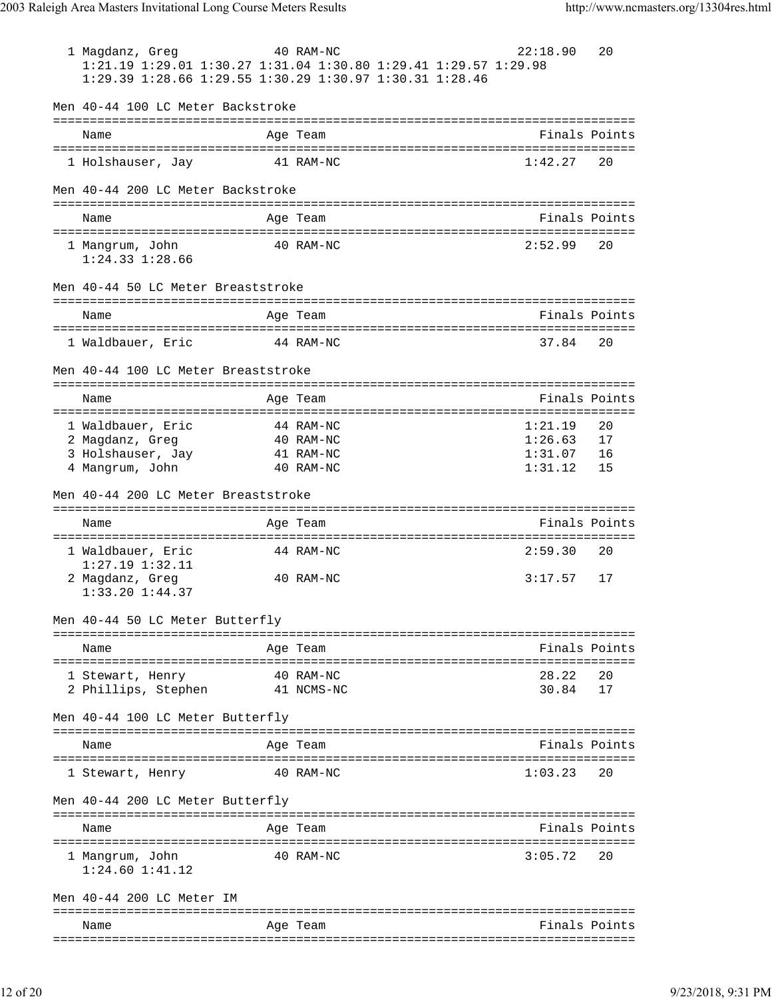1 Magdanz, Greg 40 RAM-NC 22:18.90 20 1:21.19 1:29.01 1:30.27 1:31.04 1:30.80 1:29.41 1:29.57 1:29.98 1:29.39 1:28.66 1:29.55 1:30.29 1:30.97 1:30.31 1:28.46 Men 40-44 100 LC Meter Backstroke =============================================================================== Name Age Team Finals Points =============================================================================== 1 Holshauser, Jay 41 RAM-NC 1:42.27 20 Men 40-44 200 LC Meter Backstroke =============================================================================== Name **Age Team** Age Team Finals Points =============================================================================== 1 Mangrum, John 20 RAM-NC 1:24.33 1:28.66 Men 40-44 50 LC Meter Breaststroke =============================================================================== Name Age Team Finals Points =============================================================================== 1 Waldbauer, Eric 44 RAM-NC 37.84 20 Men 40-44 100 LC Meter Breaststroke =============================================================================== Name Age Team Finals Points =============================================================================== 1 Waldbauer, Eric 44 RAM-NC 1:21.19 20 2 Magdanz, Greg 40 RAM-NC 1:26.63 17 3 Holshauser, Jay 41 RAM-NC 1:31.07 16 4 Mangrum, John 40 RAM-NC 1:31.12 15 Men 40-44 200 LC Meter Breaststroke =============================================================================== Name **Age Team** Age Team Finals Points =============================================================================== 1 Waldbauer, Eric 344 RAM-NC 1:27.19 1:32.11 2 Magdanz, Greg 40 RAM-NC 3:17.57 17 1:33.20 1:44.37 Men 40-44 50 LC Meter Butterfly =============================================================================== Name **Age Team Age Team** Rinals Points =============================================================================== 1 Stewart, Henry 40 RAM-NC 28.22 20 2 Phillips, Stephen 41 NCMS-NC 30.84 17 Men 40-44 100 LC Meter Butterfly =============================================================================== Name Age Team Finals Points =============================================================================== 1 Stewart, Henry 30 40 RAM-NC 31:03.23 20 Men 40-44 200 LC Meter Butterfly =============================================================================== Name Age Team Age Team Finals Points =============================================================================== 1 Mangrum, John 40 RAM-NC 3:05.72 20 1:24.60 1:41.12 Men 40-44 200 LC Meter IM =============================================================================== Name Age Team Finals Points ===============================================================================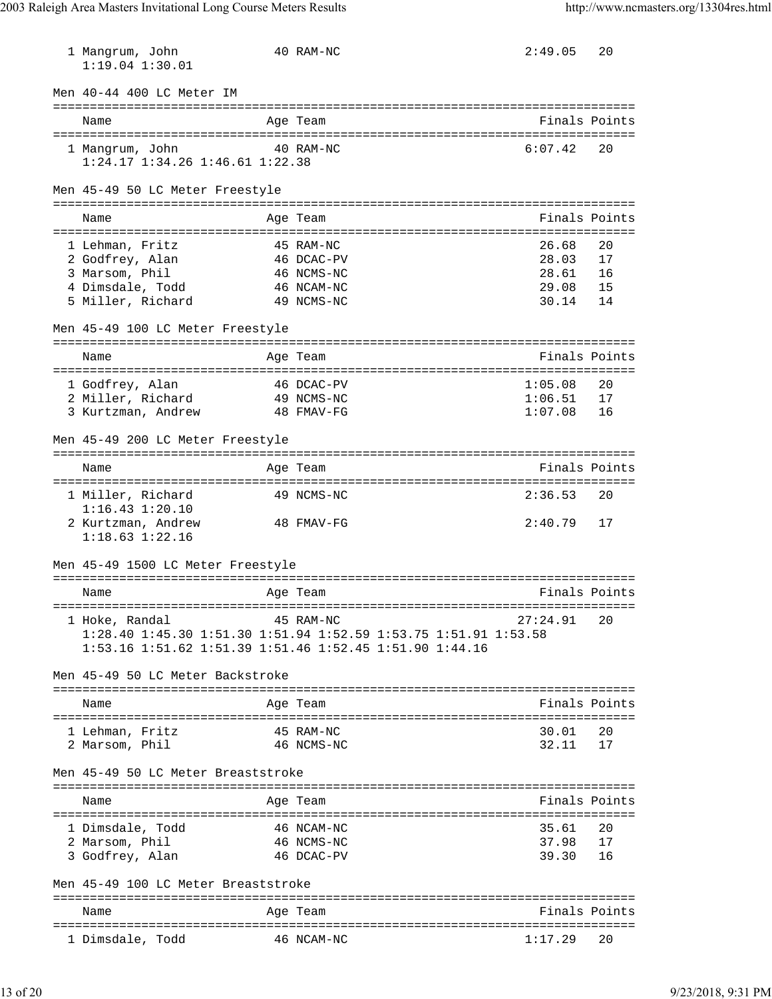| 1 Mangrum, John<br>$1:19.04$ $1:30.01$                     | 40 RAM-NC                                                       | 2:49.05       | 20 |
|------------------------------------------------------------|-----------------------------------------------------------------|---------------|----|
| Men 40-44 400 LC Meter IM                                  |                                                                 |               |    |
| Name                                                       | Age Team                                                        | Finals Points |    |
| 1 Mangrum, John<br>$1:24.17$ $1:34.26$ $1:46.61$ $1:22.38$ | 40 RAM-NC                                                       | 6:07.42       | 20 |
| Men 45-49 50 LC Meter Freestyle                            |                                                                 |               |    |
| Name                                                       | Age Team                                                        | Finals Points |    |
| 1 Lehman, Fritz                                            | 45 RAM-NC                                                       | 26.68         | 20 |
| 2 Godfrey, Alan                                            | 46 DCAC-PV                                                      | 28.03         | 17 |
| 3 Marsom, Phil                                             | 46 NCMS-NC                                                      | 28.61         | 16 |
| 4 Dimsdale, Todd                                           | 46 NCAM-NC                                                      | 29.08         | 15 |
| 5 Miller, Richard                                          | 49 NCMS-NC                                                      | 30.14         | 14 |
| Men 45-49 100 LC Meter Freestyle                           |                                                                 |               |    |
| Name                                                       | Age Team                                                        | Finals Points |    |
| 1 Godfrey, Alan                                            | 46 DCAC-PV                                                      | 1:05.08       | 20 |
| 2 Miller, Richard                                          | 49 NCMS-NC                                                      | 1:06.51       | 17 |
| 3 Kurtzman, Andrew                                         | 48 FMAV-FG                                                      | 1:07.08       | 16 |
| Men 45-49 200 LC Meter Freestyle                           |                                                                 |               |    |
| Name                                                       | Age Team                                                        | Finals Points |    |
| 1 Miller, Richard<br>$1:16.43$ $1:20.10$                   | 49 NCMS-NC                                                      | 2:36.53       | 20 |
| 2 Kurtzman, Andrew<br>$1:18.63$ $1:22.16$                  | 48 FMAV-FG                                                      | 2:40.79       | 17 |
| Men 45-49 1500 LC Meter Freestyle                          |                                                                 |               |    |
| Name                                                       | Age Team                                                        | Finals Points |    |
| 1 Hoke, Randal                                             | 45 RAM-NC                                                       | 27:24.91      | 20 |
|                                                            | 1:28.40 1:45.30 1:51.30 1:51.94 1:52.59 1:53.75 1:51.91 1:53.58 |               |    |
|                                                            | 1:53.16 1:51.62 1:51.39 1:51.46 1:52.45 1:51.90 1:44.16         |               |    |
| Men 45-49 50 LC Meter Backstroke                           |                                                                 |               |    |
| Name                                                       | Age Team                                                        | Finals Points |    |
| 1 Lehman, Fritz                                            | 45 RAM-NC                                                       | 30.01         | 20 |
| 2 Marsom, Phil                                             | 46 NCMS-NC                                                      | 32.11         | 17 |
| Men 45-49 50 LC Meter Breaststroke                         |                                                                 |               |    |
| Name                                                       | Age Team                                                        | Finals Points |    |
| 1 Dimsdale, Todd                                           | 46 NCAM-NC                                                      | 35.61         | 20 |
| 2 Marsom, Phil                                             | 46 NCMS-NC                                                      | 37.98         | 17 |
| 3 Godfrey, Alan                                            | 46 DCAC-PV                                                      | 39.30         | 16 |
| Men 45-49 100 LC Meter Breaststroke                        |                                                                 |               |    |
| Name                                                       | Age Team                                                        | Finals Points |    |
|                                                            |                                                                 |               |    |

1 Dimsdale, Todd 46 NCAM-NC 1:17.29 20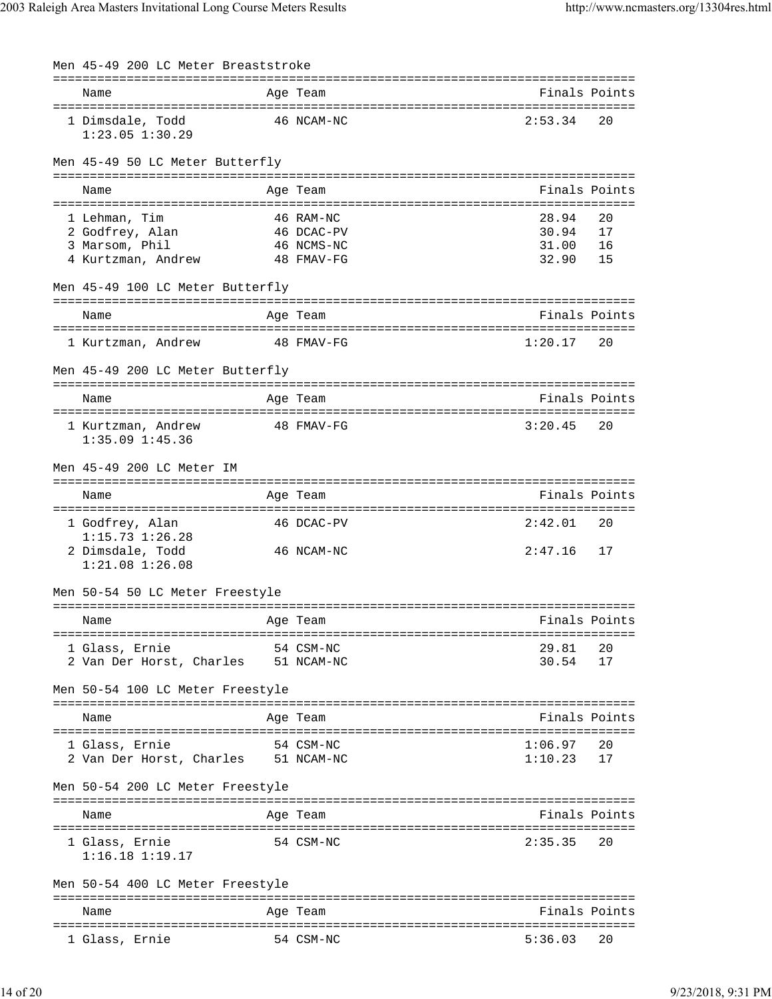| Men 45-49 200 LC Meter Breaststroke                                |            |               |               |
|--------------------------------------------------------------------|------------|---------------|---------------|
| Name                                                               | Age Team   | Finals Points |               |
| 1 Dimsdale, Todd<br>$1:23.05$ $1:30.29$                            | 46 NCAM-NC | 2:53.34       | 20            |
| Men 45-49 50 LC Meter Butterfly                                    |            |               |               |
| Name                                                               | Age Team   | Finals Points |               |
| 1 Lehman, Tim                                                      | 46 RAM-NC  | 28.94         | 20            |
| 2 Godfrey, Alan                                                    | 46 DCAC-PV | 30.94         | 17            |
| 3 Marsom, Phil                                                     | 46 NCMS-NC | 31.00         | 16            |
| 4 Kurtzman, Andrew                                                 | 48 FMAV-FG | 32.90         | 15            |
| Men 45-49 100 LC Meter Butterfly                                   |            |               |               |
| Name                                                               | Age Team   | Finals Points |               |
| 1 Kurtzman, Andrew                                                 | 48 FMAV-FG | 1:20.17       | 20            |
| Men 45-49 200 LC Meter Butterfly                                   |            |               |               |
| Name                                                               | Age Team   | Finals Points |               |
| 1 Kurtzman, Andrew<br>$1:35.09$ $1:45.36$                          | 48 FMAV-FG | 3:20.45       | 20            |
| Men 45-49 200 LC Meter IM                                          |            |               |               |
| Name                                                               | Age Team   | Finals Points |               |
| 1 Godfrey, Alan<br>$1:15.73$ $1:26.28$                             | 46 DCAC-PV | 2:42.01       | 20            |
| 2 Dimsdale, Todd<br>$1:21.08$ $1:26.08$                            | 46 NCAM-NC | 2:47.16       | 17            |
| Men 50-54 50 LC Meter Freestyle                                    |            |               |               |
| ======================================<br>Name                     | Age Team   | Finals Points |               |
| 1 Glass, Ernie                                                     | 54 CSM-NC  | 29.81         | 20            |
| 2 Van Der Horst, Charles 51 NCAM-NC                                |            | 30.54         | 17            |
| Men 50-54 100 LC Meter Freestyle<br>------------------------------ |            |               |               |
| Name                                                               | Age Team   | Finals Points |               |
|                                                                    |            | 1:06.97       |               |
| 1 Glass, Ernie<br>2 Van Der Horst, Charles 51 NCAM-NC              | 54 CSM-NC  | 1:10.23       | 20<br>17      |
| Men 50-54 200 LC Meter Freestyle                                   |            |               |               |
| Name                                                               | Age Team   | Finals Points |               |
| 1 Glass, Ernie<br>$1:16.18$ $1:19.17$                              | 54 CSM-NC  | 2:35.35       | 20            |
| Men 50-54 400 LC Meter Freestyle                                   |            |               |               |
| Name                                                               | Age Team   |               | Finals Points |
| 1 Glass, Ernie                                                     | 54 CSM-NC  | 5:36.03       | 20            |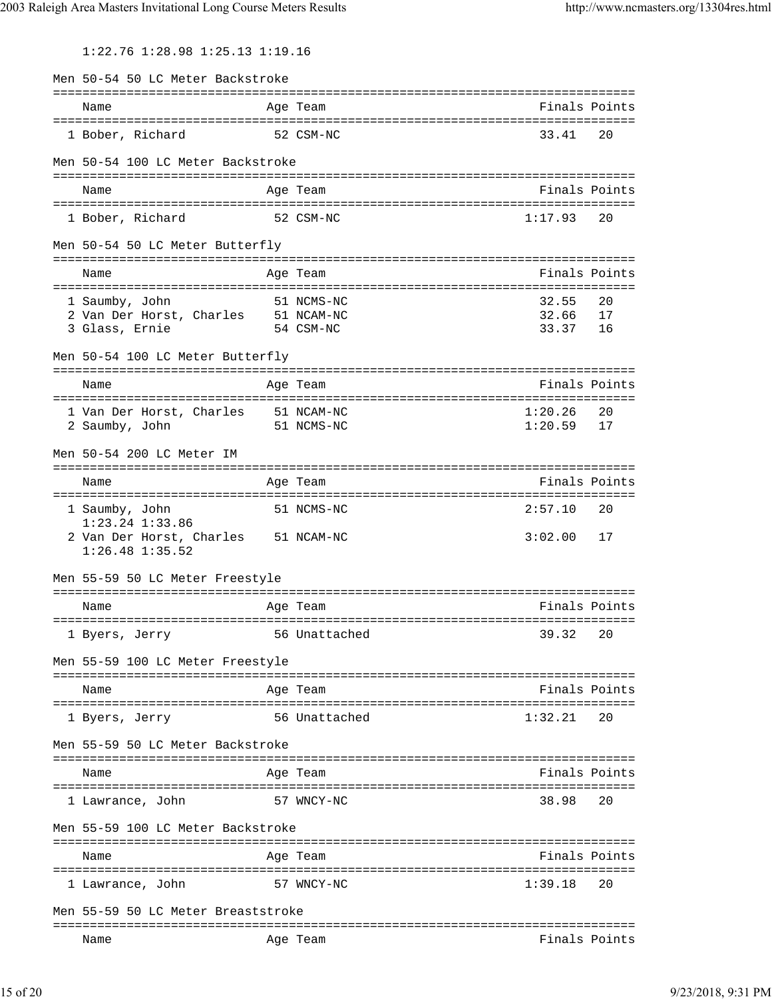1:22.76 1:28.98 1:25.13 1:19.16

| Men 50-54 50 LC Meter Backstroke                       |                                                |                                          |    |
|--------------------------------------------------------|------------------------------------------------|------------------------------------------|----|
| Name                                                   | Age Team                                       | Finals Points                            |    |
| 1 Bober, Richard                                       | 52 CSM-NC                                      | 33.41                                    | 20 |
| Men 50-54 100 LC Meter Backstroke                      |                                                |                                          |    |
| Name                                                   | Age Team                                       | Finals Points                            |    |
|                                                        |                                                |                                          |    |
| 1 Bober, Richard                                       | 52 CSM-NC                                      | 1:17.93                                  | 20 |
| Men 50-54 50 LC Meter Butterfly                        |                                                |                                          |    |
| Name                                                   | Age Team                                       | Finals Points                            |    |
| ====================================<br>1 Saumby, John | 51 NCMS-NC                                     | ===============================<br>32.55 | 20 |
| 2 Van Der Horst, Charles 51 NCAM-NC                    |                                                | 32.66                                    | 17 |
| 3 Glass, Ernie                                         | 54 CSM-NC                                      | 33.37 16                                 |    |
| Men 50-54 100 LC Meter Butterfly                       |                                                |                                          |    |
| Name                                                   | Age Team                                       | Finals Points                            |    |
|                                                        |                                                | 1:20.26                                  | 20 |
| 1 Van Der Horst, Charles<br>2 Saumby, John             | 51 NCAM-NC<br>51 NCMS-NC                       | 1:20.59                                  | 17 |
|                                                        |                                                |                                          |    |
| Men 50-54 200 LC Meter IM                              |                                                |                                          |    |
| Name                                                   | Age Team                                       | Finals Points                            |    |
|                                                        |                                                |                                          |    |
| 1 Saumby, John<br>$1:23.24$ $1:33.86$                  | 51 NCMS-NC                                     | 2:57.10                                  | 20 |
| 2 Van Der Horst, Charles<br>$1:26.48$ $1:35.52$        | 51 NCAM-NC                                     | 3:02.00                                  | 17 |
| Men 55-59 50 LC Meter Freestyle                        |                                                |                                          |    |
|                                                        |                                                |                                          |    |
| Name                                                   | Age Team                                       | Finals Points                            |    |
| 1 Byers, Jerry                                         | 56 Unattached                                  | 39.32                                    | 20 |
| Men 55-59 100 LC Meter Freestyle                       |                                                |                                          |    |
| Name                                                   | ==================================<br>Aqe Team | Finals Points                            |    |
| ==============<br>1 Byers, Jerry                       | 56 Unattached                                  | 1:32.21                                  | 20 |
| Men 55-59 50 LC Meter Backstroke                       |                                                |                                          |    |
|                                                        |                                                |                                          |    |
| Name                                                   | Age Team                                       | Finals Points                            |    |
| 1 Lawrance, John                                       | 57 WNCY-NC                                     | 38.98                                    | 20 |
| Men 55-59 100 LC Meter Backstroke                      |                                                |                                          |    |
|                                                        | ===========                                    |                                          |    |
| Name                                                   | Age Team                                       | Finals Points                            |    |
| 1 Lawrance, John                                       | 57 WNCY-NC                                     | 1:39.18                                  | 20 |
| Men 55-59 50 LC Meter Breaststroke                     |                                                |                                          |    |
| Name                                                   | Age Team                                       | Finals Points                            |    |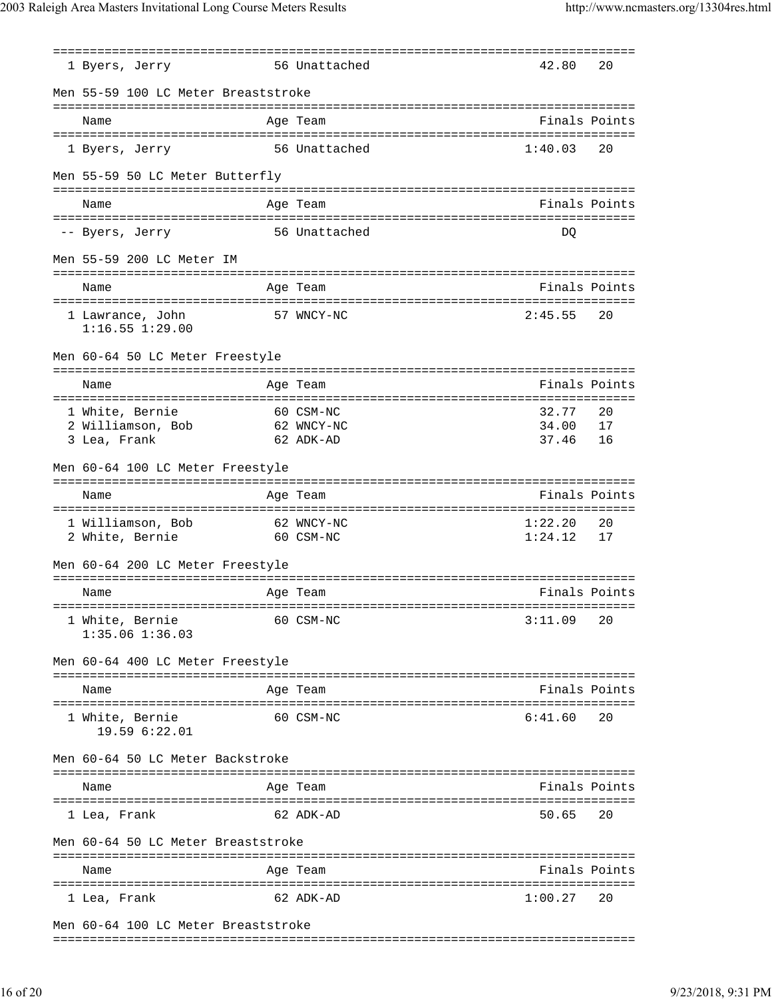|                                     | 1 Byers, Jerry                                               |  | 56 Unattached                                                   | 42.80              | 20       |  |  |  |  |  |
|-------------------------------------|--------------------------------------------------------------|--|-----------------------------------------------------------------|--------------------|----------|--|--|--|--|--|
| Men 55-59 100 LC Meter Breaststroke |                                                              |  |                                                                 |                    |          |  |  |  |  |  |
|                                     | Name                                                         |  | Age Team                                                        | Finals Points      |          |  |  |  |  |  |
|                                     | 1 Byers, Jerry                                               |  | 56 Unattached                                                   | 1:40.03            | 20       |  |  |  |  |  |
|                                     | Men 55-59 50 LC Meter Butterfly                              |  |                                                                 |                    |          |  |  |  |  |  |
|                                     | Name                                                         |  | Age Team                                                        | Finals Points      |          |  |  |  |  |  |
|                                     |                                                              |  |                                                                 |                    |          |  |  |  |  |  |
|                                     | -- Byers, Jerry                                              |  | 56 Unattached                                                   | DO                 |          |  |  |  |  |  |
|                                     | Men 55-59 200 LC Meter IM                                    |  |                                                                 |                    |          |  |  |  |  |  |
|                                     | Name                                                         |  | Age Team                                                        | Finals Points      |          |  |  |  |  |  |
|                                     | 1 Lawrance, John<br>$1:16.55$ $1:29.00$                      |  | 57 WNCY-NC                                                      | 2:45.55            | 20       |  |  |  |  |  |
|                                     | Men 60-64 50 LC Meter Freestyle                              |  |                                                                 |                    |          |  |  |  |  |  |
|                                     | Name                                                         |  | Age Team                                                        | Finals Points      |          |  |  |  |  |  |
|                                     |                                                              |  |                                                                 |                    |          |  |  |  |  |  |
|                                     | 1 White, Bernie<br>2 Williamson, Bob                         |  | 60 CSM-NC<br>62 WNCY-NC                                         | 32.77<br>34.00     | 20<br>17 |  |  |  |  |  |
|                                     | 3 Lea, Frank                                                 |  | 62 ADK-AD                                                       | 37.46              | 16       |  |  |  |  |  |
|                                     | Men 60-64 100 LC Meter Freestyle                             |  |                                                                 |                    |          |  |  |  |  |  |
|                                     | Name                                                         |  | Age Team                                                        | Finals Points      |          |  |  |  |  |  |
|                                     |                                                              |  |                                                                 |                    |          |  |  |  |  |  |
|                                     | 1 Williamson, Bob 62 WNCY-NC<br>60 CSM-NC<br>2 White, Bernie |  |                                                                 | 1:22.20<br>1:24.12 | 20<br>17 |  |  |  |  |  |
|                                     |                                                              |  |                                                                 |                    |          |  |  |  |  |  |
|                                     | Men 60-64 200 LC Meter Freestyle                             |  |                                                                 |                    |          |  |  |  |  |  |
|                                     | Name                                                         |  | Age Team                                                        | Finals Points      |          |  |  |  |  |  |
|                                     | 1 White, Bernie<br>$1:35.06$ $1:36.03$                       |  | 60 CSM-NC                                                       | 3:11.09            | 20       |  |  |  |  |  |
|                                     | Men 60-64 400 LC Meter Freestyle                             |  |                                                                 |                    |          |  |  |  |  |  |
|                                     | -----------------<br>Name                                    |  | ==================<br>-----------------------------<br>Age Team | Finals Points      |          |  |  |  |  |  |
|                                     |                                                              |  |                                                                 |                    |          |  |  |  |  |  |
|                                     | 1 White, Bernie<br>19.59 6:22.01                             |  | 60 CSM-NC                                                       | 6:41.60            | 20       |  |  |  |  |  |
|                                     | Men 60-64 50 LC Meter Backstroke                             |  |                                                                 |                    |          |  |  |  |  |  |
|                                     | Name                                                         |  | Age Team                                                        | Finals Points      |          |  |  |  |  |  |
|                                     | l Lea, Frank                                                 |  | 62 ADK-AD                                                       | 50.65              | 20       |  |  |  |  |  |
|                                     | Men 60-64 50 LC Meter Breaststroke                           |  |                                                                 |                    |          |  |  |  |  |  |
|                                     | Name                                                         |  | Age Team                                                        | Finals Points      |          |  |  |  |  |  |
|                                     |                                                              |  |                                                                 |                    |          |  |  |  |  |  |
|                                     | l Lea, Frank                                                 |  | 62 ADK-AD                                                       | 1:00.27            | 20       |  |  |  |  |  |
|                                     | Men 60-64 100 LC Meter Breaststroke                          |  |                                                                 |                    |          |  |  |  |  |  |

===============================================================================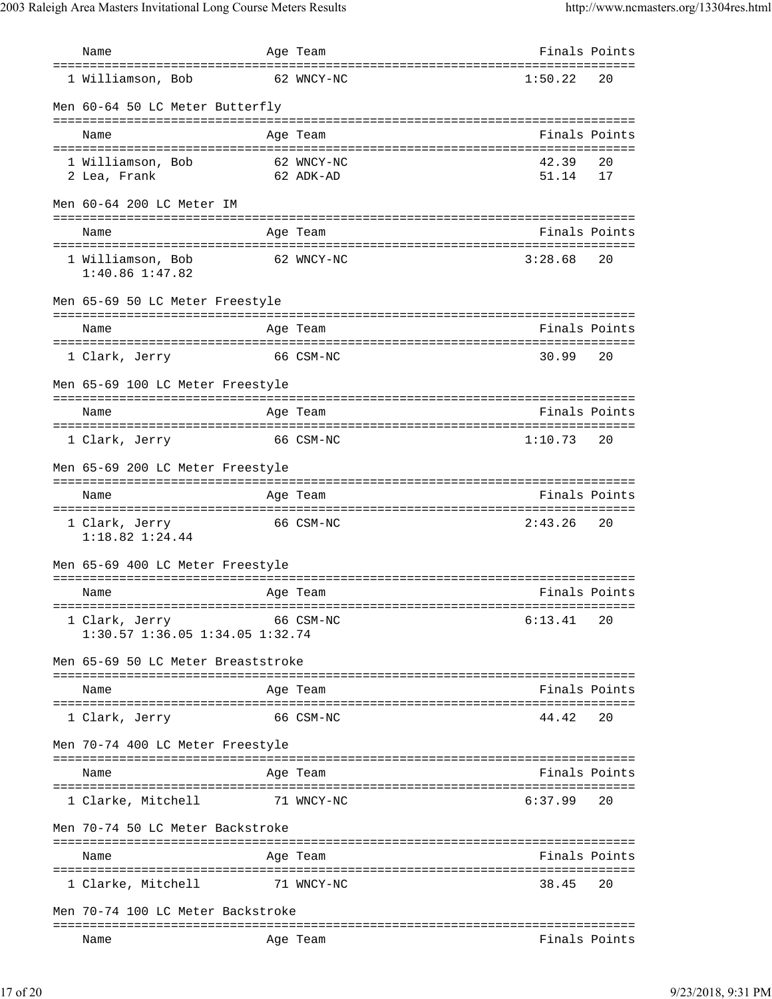| Name                                                      | Age Team                            | Finals Points  |          |
|-----------------------------------------------------------|-------------------------------------|----------------|----------|
| ==================================<br>1 Williamson, Bob   | =====================<br>62 WNCY-NC | 1:50.22        | 20       |
| Men 60-64 50 LC Meter Butterfly                           |                                     |                |          |
| Name                                                      | Age Team                            | Finals Points  |          |
| 1 Williamson, Bob<br>2 Lea, Frank                         | 62 WNCY-NC<br>62 ADK-AD             | 42.39<br>51.14 | 20<br>17 |
| Men 60-64 200 LC Meter IM                                 |                                     |                |          |
| Name                                                      | Age Team                            | Finals Points  |          |
| 1 Williamson, Bob<br>$1:40.86$ $1:47.82$                  | 62 WNCY-NC                          | 3:28.68        | 20       |
| Men 65-69 50 LC Meter Freestyle                           |                                     |                |          |
| Name                                                      | Age Team                            | Finals Points  |          |
| 1 Clark, Jerry                                            | 66 CSM-NC                           | 30.99          | 20       |
| Men 65-69 100 LC Meter Freestyle                          |                                     |                |          |
| Name                                                      | Age Team                            | Finals Points  |          |
| 1 Clark, Jerry                                            | 66 CSM-NC                           | 1:10.73        | 20       |
| Men 65-69 200 LC Meter Freestyle                          |                                     |                |          |
| Name                                                      | Age Team                            | Finals Points  |          |
| 1 Clark, Jerry<br>$1:18.82$ $1:24.44$                     | 66 CSM-NC                           | 2:43.26        | 20       |
| Men 65-69 400 LC Meter Freestyle                          |                                     |                |          |
| Name                                                      | Age Team                            | Finals Points  |          |
| 1 Clark, Jerry<br>$1:30.57$ $1:36.05$ $1:34.05$ $1:32.74$ | 66 CSM-NC                           | 6:13.41        | 20       |
| Men 65-69 50 LC Meter Breaststroke                        |                                     |                |          |
| Name                                                      | Age Team                            | Finals Points  |          |
| 1 Clark, Jerry                                            | 66 CSM-NC                           | 44.42          | 20       |
| Men 70-74 400 LC Meter Freestyle                          |                                     |                |          |
| Name                                                      | Age Team                            | Finals Points  |          |
| 1 Clarke, Mitchell                                        | 71 WNCY-NC                          | 6:37.99        | 20       |
| Men 70-74 50 LC Meter Backstroke                          |                                     |                |          |
| Name                                                      | Age Team                            | Finals Points  |          |
| 1 Clarke, Mitchell                                        | 71 WNCY-NC                          | 38.45          | 20       |
| Men 70-74 100 LC Meter Backstroke                         |                                     |                |          |
| Name                                                      | Age Team                            | Finals Points  |          |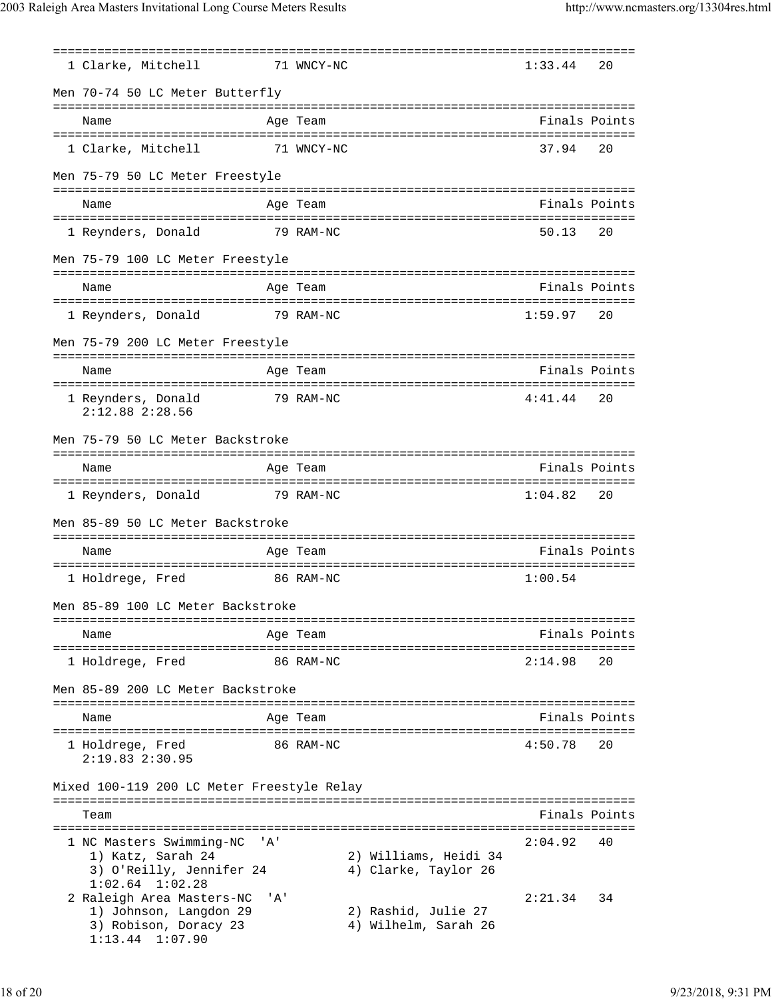=============================================================================== 1 Clarke, Mitchell 71 WNCY-NC Men 70-74 50 LC Meter Butterfly =============================================================================== Name Age Team Age Team Finals Points =============================================================================== 1 Clarke, Mitchell 71 WNCY-NC Men 75-79 50 LC Meter Freestyle =============================================================================== Name Age Team Age Team Finals Points =============================================================================== 1 Reynders, Donald 79 RAM-NC Men 75-79 100 LC Meter Freestyle =============================================================================== Name **Age Team** Age Team Finals Points =============================================================================== 1 Reynders, Donald 79 RAM-NC 1:59.97 20 Men 75-79 200 LC Meter Freestyle =============================================================================== Name Age Team Age Team Finals Points =============================================================================== 1 Reynders, Donald 2:12.88 2:28.56 Men 75-79 50 LC Meter Backstroke =============================================================================== Name Age Team Finals Points =============================================================================== 1 Reynders, Donald 79 RAM-NC 1:04.82 Men 85-89 50 LC Meter Backstroke =============================================================================== Name Age Team Age Team Finals Points =============================================================================== 1 Holdrege, Fred 86 RAM-NC 1:00.54 Men 85-89 100 LC Meter Backstroke =============================================================================== Name Age Team Finals Points =============================================================================== 1 Holdrege, Fred 86 RAM-NC 2:14.98 20 Men 85-89 200 LC Meter Backstroke =============================================================================== Name Age Team Finals Points =============================================================================== 1 Holdrege, Fred 86 RAM-NC 4:50.78 20 2:19.83 2:30.95 Mixed 100-119 200 LC Meter Freestyle Relay =============================================================================== Team Finals Points =============================================================================== 1 NC Masters Swimming-NC 'A' 2:04.92 40 1) Katz, Sarah 24 2) Williams, Heidi 34<br>3) O'Reilly, Jennifer 24 4) Clarke, Taylor 26 3) O'Reilly, Jennifer 24 1:02.64 1:02.28 2 Raleigh Area Masters-NC 'A' 2:21.34 34 dielgh Alea mascclo no 1.<br>1) Johnson, Langdon 29 2) Rashid, Julie 27 3) Robison, Doracy 23 4) Wilhelm, Sarah 26 1:13.44 1:07.90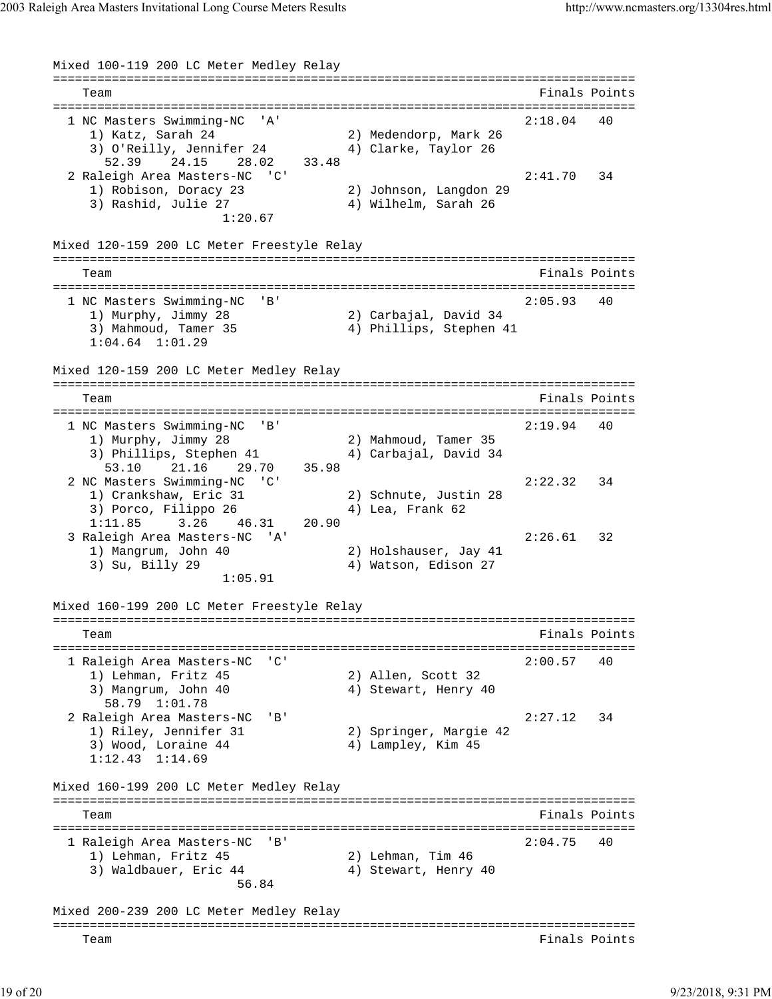Mixed 100-119 200 LC Meter Medley Relay =============================================================================== Team Finals Points =============================================================================== 1 NC Masters Swimming-NC 'A' 2:18.04 40 1) Katz, Sarah 24 2) Medendorp, Mark 26 3) O'Reilly, Jennifer 24 4) Clarke, Taylor 26 52.39 24.15 28.02 33.48 2 Raleigh Area Masters-NC 'C' 2:41.70 34 1) Robison, Doracy 23 2) Johnson, Langdon 29 3) Rashid, Julie 27 4) Wilhelm, Sarah 26 1:20.67 Mixed 120-159 200 LC Meter Freestyle Relay =============================================================================== Team Finals Points =============================================================================== 1 NC Masters Swimming-NC 'B' 2:05.93 40<br>
1) Murphy, Jimmy 28 2) Carbajal, David 34 1) Murphy, Jimmy 28 2) Carbajal, David 34 3) Mahmoud, Tamer 35 4) Phillips, Stephen 41 1:04.64 1:01.29 Mixed 120-159 200 LC Meter Medley Relay =============================================================================== Team Finals Points =============================================================================== 1 NC Masters Swimming-NC 'B' 2:19.94 40 1) Murphy, Jimmy 28 2) Mahmoud, Tamer 35 3) Phillips, Stephen 41 4) Carbajal, David 34 53.10 21.16 29.70 35.98 2 NC Masters Swimming-NC 'C' 2:22.32 34 1) Crankshaw, Eric 31 2) Schnute, Justin 28 3) Porco, Filippo 26 4) Lea, Frank 62 1:11.85 3.26 46.31 20.90 3 Raleigh Area Masters-NC 'A' 2:26.61 32 1) Mangrum, John 40 2) Holshauser, Jay 41 3) Su, Billy 29 4) Watson, Edison 27 1:05.91 Mixed 160-199 200 LC Meter Freestyle Relay =============================================================================== Team Finals Points =============================================================================== 1 Raleigh Area Masters-NC 'C' 2:00.57 40 1) Lehman, Fritz 45<br>3) Mangrum, John 40<br>58.79 1:01.78 2) Allen, Scott 32<br>4) Stewart, Henry 40 58.79 1:01.78 2 Raleigh Area Masters-NC 'B' 2:27.12 34 1) Riley, Jennifer 31 2) Springer, Margie 42 3) Wood, Loraine 44 4 4 4 Hampley, Kim 45 1:12.43 1:14.69 Mixed 160-199 200 LC Meter Medley Relay =============================================================================== Team Finals Points =============================================================================== 1 Raleigh Area Masters-NC 'B' 2:04.75 40 1) Lehman, Fritz 45 2) Lehman, Tim 46 3) Waldbauer, Eric 44 44 4) Stewart, Henry 40 56.84 Mixed 200-239 200 LC Meter Medley Relay =============================================================================== Team Finals Points